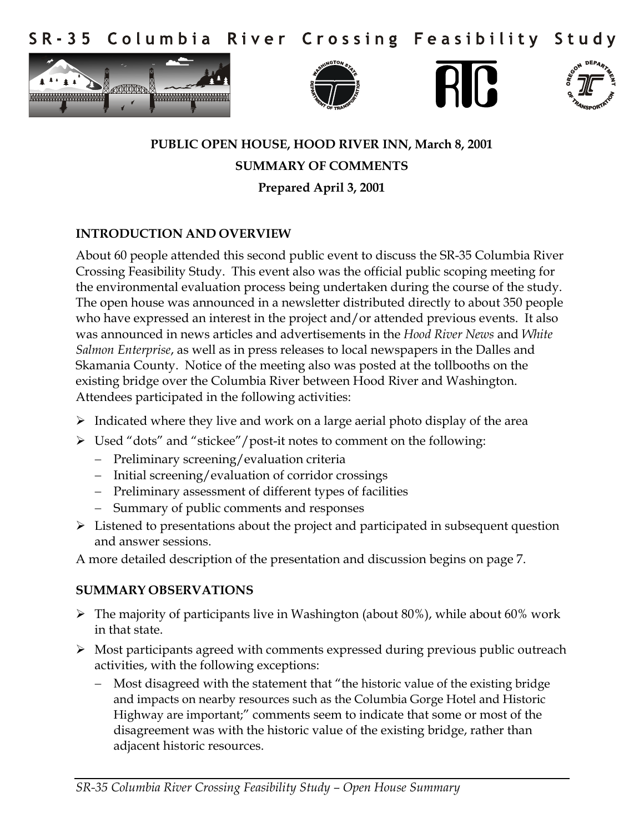Columbia River Crossing Feasibility  $S$  R - 3 5 Study









# **PUBLIC OPEN HOUSE, HOOD RIVER INN, March 8, 2001 SUMMARY OF COMMENTS Prepared April 3, 2001**

#### **INTRODUCTION AND OVERVIEW**

About 60 people attended this second public event to discuss the SR-35 Columbia River Crossing Feasibility Study. This event also was the official public scoping meeting for the environmental evaluation process being undertaken during the course of the study. The open house was announced in a newsletter distributed directly to about 350 people who have expressed an interest in the project and/or attended previous events. It also was announced in news articles and advertisements in the *Hood River News* and *White Salmon Enterprise*, as well as in press releases to local newspapers in the Dalles and Skamania County. Notice of the meeting also was posted at the tollbooths on the existing bridge over the Columbia River between Hood River and Washington. Attendees participated in the following activities:

- $\triangleright$  Indicated where they live and work on a large aerial photo display of the area
- Used "dots" and "stickee"/post-it notes to comment on the following:
	- Preliminary screening/evaluation criteria
	- Initial screening/evaluation of corridor crossings
	- Preliminary assessment of different types of facilities
	- Summary of public comments and responses
- $\triangleright$  Listened to presentations about the project and participated in subsequent question and answer sessions.

A more detailed description of the presentation and discussion begins on page 7.

#### **SUMMARY OBSERVATIONS**

- $\triangleright$  The majority of participants live in Washington (about 80%), while about 60% work in that state.
- $\triangleright$  Most participants agreed with comments expressed during previous public outreach activities, with the following exceptions:
	- Most disagreed with the statement that "the historic value of the existing bridge and impacts on nearby resources such as the Columbia Gorge Hotel and Historic Highway are important;" comments seem to indicate that some or most of the disagreement was with the historic value of the existing bridge, rather than adjacent historic resources.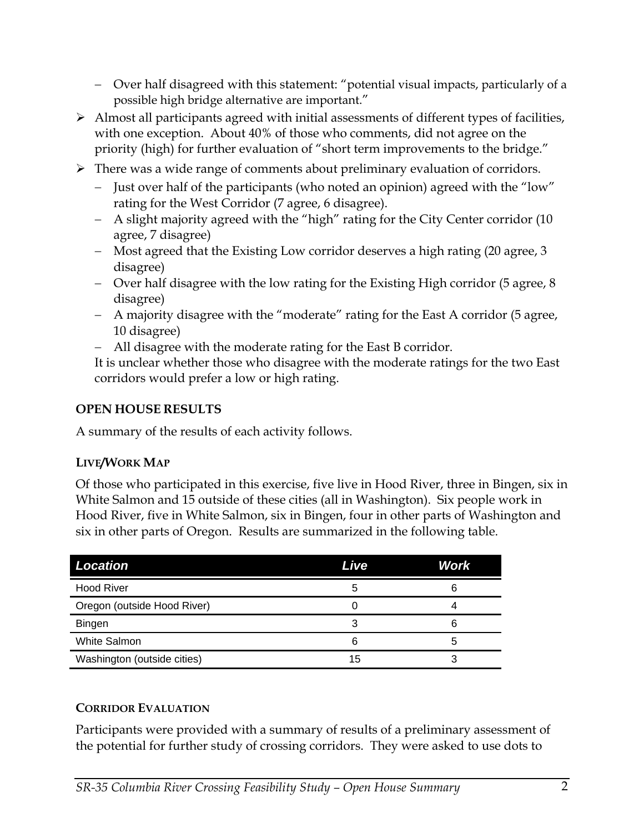- Over half disagreed with this statement: "potential visual impacts, particularly of a possible high bridge alternative are important."
- $\triangleright$  Almost all participants agreed with initial assessments of different types of facilities, with one exception. About 40% of those who comments, did not agree on the priority (high) for further evaluation of "short term improvements to the bridge."
- $\triangleright$  There was a wide range of comments about preliminary evaluation of corridors.
	- Just over half of the participants (who noted an opinion) agreed with the "low" rating for the West Corridor (7 agree, 6 disagree).
	- A slight majority agreed with the "high" rating for the City Center corridor (10 agree, 7 disagree)
	- Most agreed that the Existing Low corridor deserves a high rating (20 agree, 3) disagree)
	- Over half disagree with the low rating for the Existing High corridor (5 agree, 8 disagree)
	- A majority disagree with the "moderate" rating for the East A corridor (5 agree, 10 disagree)
	- All disagree with the moderate rating for the East B corridor.

It is unclear whether those who disagree with the moderate ratings for the two East corridors would prefer a low or high rating.

# **OPEN HOUSE RESULTS**

A summary of the results of each activity follows.

## **LIVE/WORK MAP**

Of those who participated in this exercise, five live in Hood River, three in Bingen, six in White Salmon and 15 outside of these cities (all in Washington). Six people work in Hood River, five in White Salmon, six in Bingen, four in other parts of Washington and six in other parts of Oregon. Results are summarized in the following table.

| <b>Location</b>             | Live | Work |
|-----------------------------|------|------|
| <b>Hood River</b>           | 5    | 6    |
| Oregon (outside Hood River) |      |      |
| <b>Bingen</b>               |      | 6    |
| <b>White Salmon</b>         | 6    | 5    |
| Washington (outside cities) | 15   |      |

## **CORRIDOR EVALUATION**

Participants were provided with a summary of results of a preliminary assessment of the potential for further study of crossing corridors. They were asked to use dots to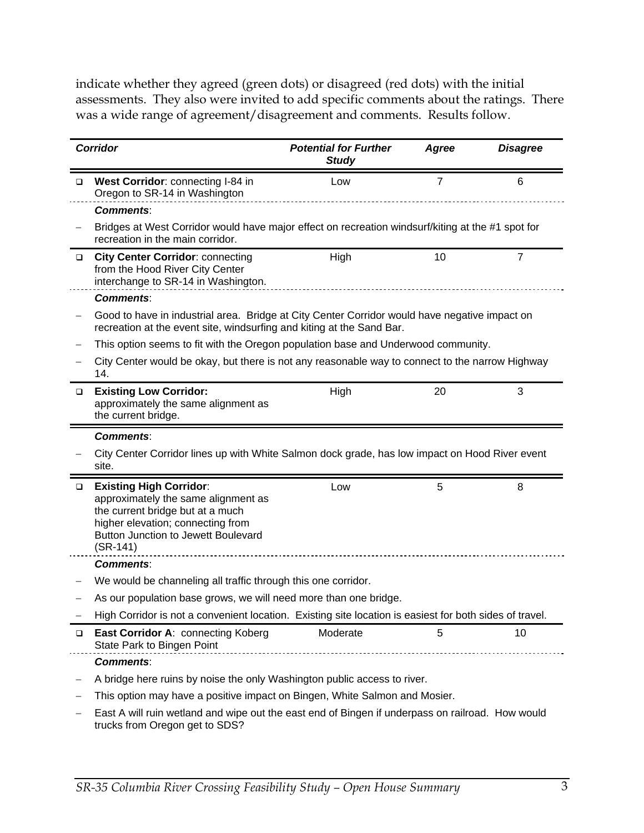indicate whether they agreed (green dots) or disagreed (red dots) with the initial assessments. They also were invited to add specific comments about the ratings. There was a wide range of agreement/disagreement and comments. Results follow.

|        | <b>Corridor</b>                                                                                                                                                                                            | <b>Potential for Further</b><br><b>Study</b> | Agree | <b>Disagree</b> |
|--------|------------------------------------------------------------------------------------------------------------------------------------------------------------------------------------------------------------|----------------------------------------------|-------|-----------------|
| □      | West Corridor: connecting I-84 in<br>Oregon to SR-14 in Washington                                                                                                                                         | Low                                          | 7     | 6               |
|        | <b>Comments:</b>                                                                                                                                                                                           |                                              |       |                 |
|        | Bridges at West Corridor would have major effect on recreation windsurf/kiting at the #1 spot for<br>recreation in the main corridor.                                                                      |                                              |       |                 |
| $\Box$ | <b>City Center Corridor: connecting</b><br>from the Hood River City Center<br>interchange to SR-14 in Washington.                                                                                          | High                                         | 10    | $\overline{7}$  |
|        | <b>Comments:</b>                                                                                                                                                                                           |                                              |       |                 |
|        | Good to have in industrial area. Bridge at City Center Corridor would have negative impact on<br>recreation at the event site, windsurfing and kiting at the Sand Bar.                                     |                                              |       |                 |
|        | This option seems to fit with the Oregon population base and Underwood community.                                                                                                                          |                                              |       |                 |
|        | City Center would be okay, but there is not any reasonable way to connect to the narrow Highway<br>14.                                                                                                     |                                              |       |                 |
| $\Box$ | <b>Existing Low Corridor:</b><br>approximately the same alignment as<br>the current bridge.                                                                                                                | High                                         | 20    | 3               |
|        | <b>Comments:</b>                                                                                                                                                                                           |                                              |       |                 |
|        | City Center Corridor lines up with White Salmon dock grade, has low impact on Hood River event<br>site.                                                                                                    |                                              |       |                 |
| $\Box$ | <b>Existing High Corridor:</b><br>approximately the same alignment as<br>the current bridge but at a much<br>higher elevation; connecting from<br><b>Button Junction to Jewett Boulevard</b><br>$(SR-141)$ | Low                                          | 5     | 8               |
|        | <b>Comments:</b>                                                                                                                                                                                           |                                              |       |                 |
|        | We would be channeling all traffic through this one corridor.                                                                                                                                              |                                              |       |                 |
|        | As our population base grows, we will need more than one bridge.                                                                                                                                           |                                              |       |                 |
|        | High Corridor is not a convenient location. Existing site location is easiest for both sides of travel.                                                                                                    |                                              |       |                 |
| $\Box$ | East Corridor A: connecting Koberg<br>State Park to Bingen Point                                                                                                                                           | Moderate                                     | 5     | 10              |
|        | <b>Comments:</b>                                                                                                                                                                                           |                                              |       |                 |
|        | A bridge here ruins by noise the only Washington public access to river.                                                                                                                                   |                                              |       |                 |
|        | This option may have a positive impact on Bingen, White Salmon and Mosier.                                                                                                                                 |                                              |       |                 |
|        | East A will ruin wetland and wipe out the east end of Bingen if underpass on railroad. How would<br>trucks from Oregon get to SDS?                                                                         |                                              |       |                 |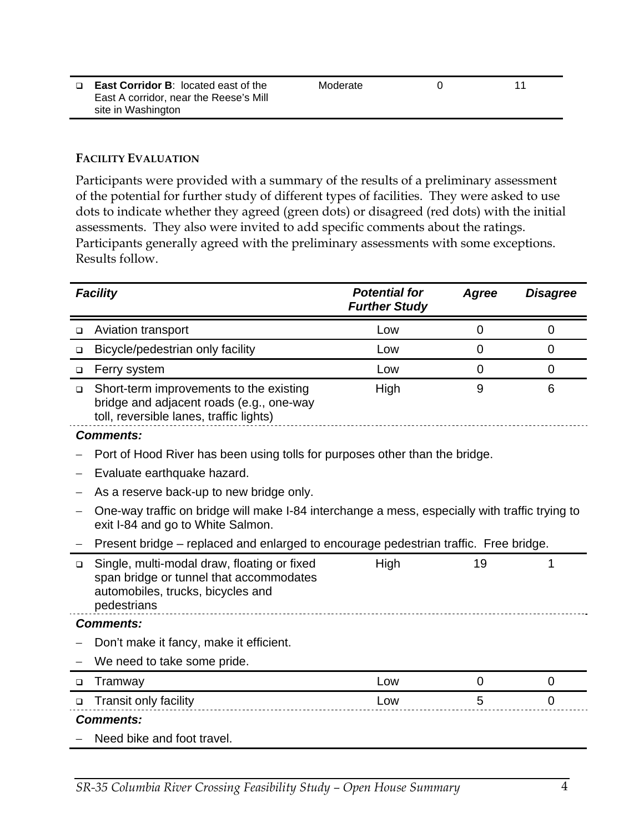| □ East Corridor B: located east of the | Moderate | 11 |
|----------------------------------------|----------|----|
| East A corridor, near the Reese's Mill |          |    |
| site in Washington                     |          |    |

#### **FACILITY EVALUATION**

Participants were provided with a summary of the results of a preliminary assessment of the potential for further study of different types of facilities. They were asked to use dots to indicate whether they agreed (green dots) or disagreed (red dots) with the initial assessments. They also were invited to add specific comments about the ratings. Participants generally agreed with the preliminary assessments with some exceptions. Results follow.

|        | <b>Facility</b>                                                                                                                            | <b>Potential for</b><br><b>Further Study</b> | Agree       | <b>Disagree</b> |
|--------|--------------------------------------------------------------------------------------------------------------------------------------------|----------------------------------------------|-------------|-----------------|
| $\Box$ | Aviation transport                                                                                                                         | Low                                          | 0           | 0               |
| $\Box$ | Bicycle/pedestrian only facility                                                                                                           | Low                                          | $\mathbf 0$ | $\overline{0}$  |
| $\Box$ | Ferry system                                                                                                                               | Low                                          | 0           | 0               |
| $\Box$ | Short-term improvements to the existing<br>bridge and adjacent roads (e.g., one-way<br>toll, reversible lanes, traffic lights)             | High                                         | 9           | 6               |
|        | <b>Comments:</b>                                                                                                                           |                                              |             |                 |
|        | Port of Hood River has been using tolls for purposes other than the bridge.                                                                |                                              |             |                 |
|        | Evaluate earthquake hazard.                                                                                                                |                                              |             |                 |
|        | As a reserve back-up to new bridge only.                                                                                                   |                                              |             |                 |
|        | One-way traffic on bridge will make I-84 interchange a mess, especially with traffic trying to<br>exit I-84 and go to White Salmon.        |                                              |             |                 |
|        | Present bridge – replaced and enlarged to encourage pedestrian traffic. Free bridge.                                                       |                                              |             |                 |
| $\Box$ | Single, multi-modal draw, floating or fixed<br>span bridge or tunnel that accommodates<br>automobiles, trucks, bicycles and<br>pedestrians | High                                         | 19          | 1               |
|        | <b>Comments:</b>                                                                                                                           |                                              |             |                 |
|        | Don't make it fancy, make it efficient.                                                                                                    |                                              |             |                 |
|        | We need to take some pride.                                                                                                                |                                              |             |                 |
| □      | Tramway                                                                                                                                    | Low                                          | 0           | 0               |
| ❏      | <b>Transit only facility</b>                                                                                                               | Low                                          | 5           | 0               |
|        | <b>Comments:</b>                                                                                                                           |                                              |             |                 |
|        | Need bike and foot travel.                                                                                                                 |                                              |             |                 |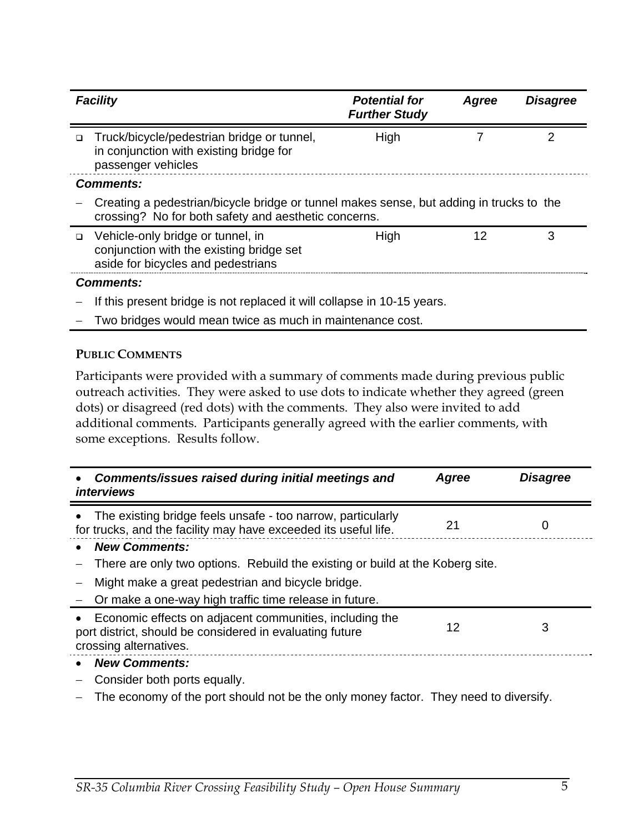| <b>Facility</b>                                                                                                                                 | <b>Potential for</b><br><b>Further Study</b> | Agree | <b>Disagree</b> |  |
|-------------------------------------------------------------------------------------------------------------------------------------------------|----------------------------------------------|-------|-----------------|--|
| Truck/bicycle/pedestrian bridge or tunnel,<br>$\Box$<br>in conjunction with existing bridge for<br>passenger vehicles                           | High                                         |       |                 |  |
| <b>Comments:</b>                                                                                                                                |                                              |       |                 |  |
| Creating a pedestrian/bicycle bridge or tunnel makes sense, but adding in trucks to the<br>crossing? No for both safety and aesthetic concerns. |                                              |       |                 |  |
| Vehicle-only bridge or tunnel, in<br>$\Box$<br>conjunction with the existing bridge set<br>aside for bicycles and pedestrians                   | High                                         | 12    | 3               |  |
| <b>Comments:</b>                                                                                                                                |                                              |       |                 |  |
| If this present bridge is not replaced it will collapse in 10-15 years.                                                                         |                                              |       |                 |  |

Two bridges would mean twice as much in maintenance cost.

#### **PUBLIC COMMENTS**

Participants were provided with a summary of comments made during previous public outreach activities. They were asked to use dots to indicate whether they agreed (green dots) or disagreed (red dots) with the comments. They also were invited to add additional comments. Participants generally agreed with the earlier comments, with some exceptions. Results follow.

| Comments/issues raised during initial meetings and<br><i>interviews</i>                                                                       | Agree | <b>Disagree</b> |
|-----------------------------------------------------------------------------------------------------------------------------------------------|-------|-----------------|
| The existing bridge feels unsafe - too narrow, particularly<br>for trucks, and the facility may have exceeded its useful life.                | 21    | Ü               |
| <b>New Comments:</b>                                                                                                                          |       |                 |
| There are only two options. Rebuild the existing or build at the Koberg site.                                                                 |       |                 |
| Might make a great pedestrian and bicycle bridge.                                                                                             |       |                 |
| Or make a one-way high traffic time release in future.                                                                                        |       |                 |
| Economic effects on adjacent communities, including the<br>port district, should be considered in evaluating future<br>crossing alternatives. | 12    | 3               |
| <b>New Comments:</b>                                                                                                                          |       |                 |
| Consider both ports equally.                                                                                                                  |       |                 |

The economy of the port should not be the only money factor. They need to diversify.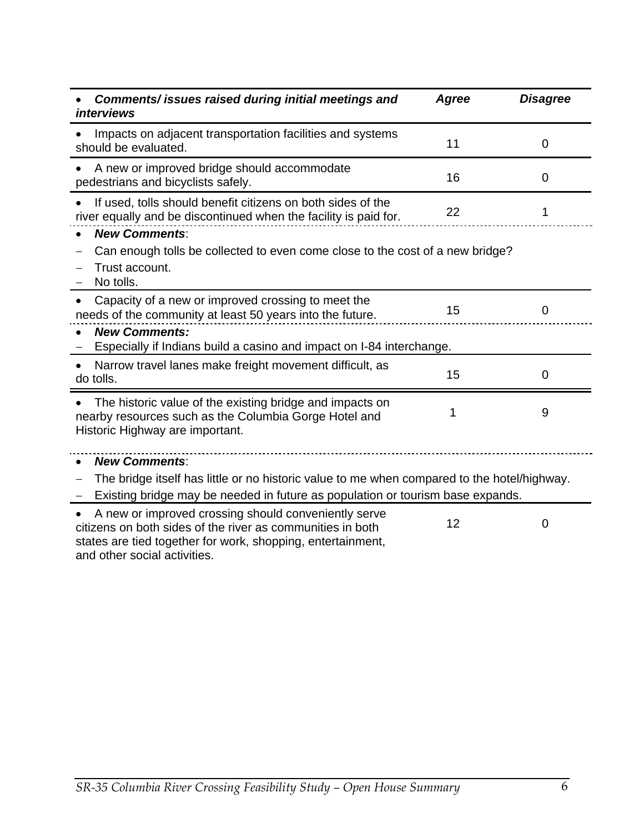| Comments/ issues raised during initial meetings and<br><i>interviews</i>                                                                                                          | Agree | <b>Disagree</b> |  |
|-----------------------------------------------------------------------------------------------------------------------------------------------------------------------------------|-------|-----------------|--|
| Impacts on adjacent transportation facilities and systems<br>should be evaluated.                                                                                                 | 11    | 0               |  |
| A new or improved bridge should accommodate<br>pedestrians and bicyclists safely.                                                                                                 | 16    | 0               |  |
| If used, tolls should benefit citizens on both sides of the<br>river equally and be discontinued when the facility is paid for.                                                   | 22    | 1               |  |
| <b>New Comments:</b><br>Can enough tolls be collected to even come close to the cost of a new bridge?<br>Trust account.<br>No tolls.                                              |       |                 |  |
| Capacity of a new or improved crossing to meet the<br>needs of the community at least 50 years into the future.                                                                   | 15    | 0               |  |
| <b>New Comments:</b><br>Especially if Indians build a casino and impact on I-84 interchange.                                                                                      |       |                 |  |
| Narrow travel lanes make freight movement difficult, as<br>do tolls.                                                                                                              | 15    | 0               |  |
| The historic value of the existing bridge and impacts on<br>nearby resources such as the Columbia Gorge Hotel and<br>Historic Highway are important.                              | 1     | 9               |  |
| <b>New Comments:</b>                                                                                                                                                              |       |                 |  |
| The bridge itself has little or no historic value to me when compared to the hotel/highway.                                                                                       |       |                 |  |
| Existing bridge may be needed in future as population or tourism base expands.                                                                                                    |       |                 |  |
| A new or improved crossing should conveniently serve<br>citizens on both sides of the river as communities in both<br>states are tied together for work, shopping, entertainment, | 12    | 0               |  |

and other social activities.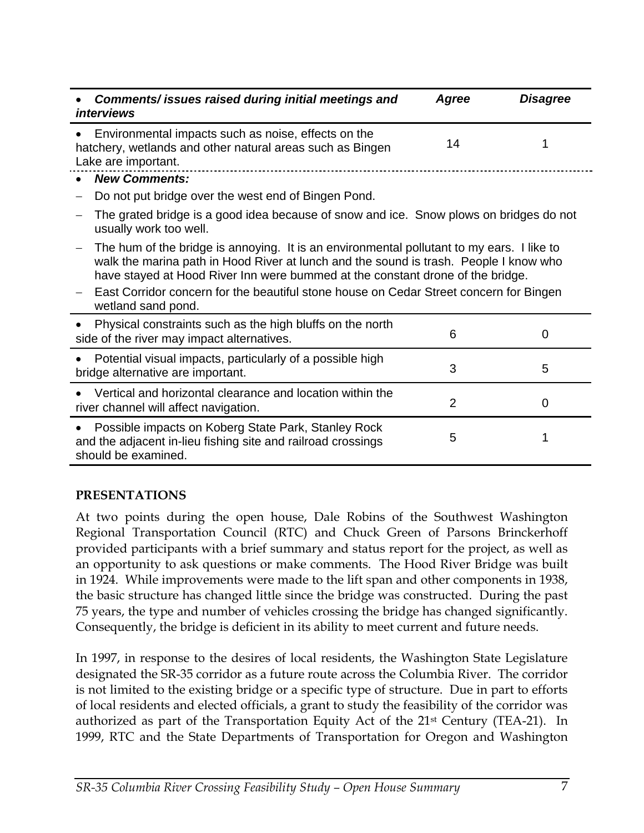| Comments/ issues raised during initial meetings and<br><i>interviews</i>                                                                                                                                                                                                                                                                                       | Agree          | <b>Disagree</b> |
|----------------------------------------------------------------------------------------------------------------------------------------------------------------------------------------------------------------------------------------------------------------------------------------------------------------------------------------------------------------|----------------|-----------------|
| Environmental impacts such as noise, effects on the<br>hatchery, wetlands and other natural areas such as Bingen<br>Lake are important.                                                                                                                                                                                                                        | 14             |                 |
| <b>New Comments:</b>                                                                                                                                                                                                                                                                                                                                           |                |                 |
| Do not put bridge over the west end of Bingen Pond.                                                                                                                                                                                                                                                                                                            |                |                 |
| The grated bridge is a good idea because of snow and ice. Snow plows on bridges do not<br>usually work too well.                                                                                                                                                                                                                                               |                |                 |
| The hum of the bridge is annoying. It is an environmental pollutant to my ears. I like to<br>walk the marina path in Hood River at lunch and the sound is trash. People I know who<br>have stayed at Hood River Inn were bummed at the constant drone of the bridge.<br>East Corridor concern for the beautiful stone house on Cedar Street concern for Bingen |                |                 |
| wetland sand pond.                                                                                                                                                                                                                                                                                                                                             |                |                 |
| Physical constraints such as the high bluffs on the north<br>side of the river may impact alternatives.                                                                                                                                                                                                                                                        | 6              | 0               |
| Potential visual impacts, particularly of a possible high<br>bridge alternative are important.                                                                                                                                                                                                                                                                 | 3              | 5               |
| Vertical and horizontal clearance and location within the<br>river channel will affect navigation.                                                                                                                                                                                                                                                             | $\overline{2}$ | 0               |
| Possible impacts on Koberg State Park, Stanley Rock<br>and the adjacent in-lieu fishing site and railroad crossings<br>should be examined.                                                                                                                                                                                                                     | 5              |                 |

## **PRESENTATIONS**

At two points during the open house, Dale Robins of the Southwest Washington Regional Transportation Council (RTC) and Chuck Green of Parsons Brinckerhoff provided participants with a brief summary and status report for the project, as well as an opportunity to ask questions or make comments. The Hood River Bridge was built in 1924. While improvements were made to the lift span and other components in 1938, the basic structure has changed little since the bridge was constructed. During the past 75 years, the type and number of vehicles crossing the bridge has changed significantly. Consequently, the bridge is deficient in its ability to meet current and future needs.

In 1997, in response to the desires of local residents, the Washington State Legislature designated the SR-35 corridor as a future route across the Columbia River. The corridor is not limited to the existing bridge or a specific type of structure. Due in part to efforts of local residents and elected officials, a grant to study the feasibility of the corridor was authorized as part of the Transportation Equity Act of the 21st Century (TEA-21). In 1999, RTC and the State Departments of Transportation for Oregon and Washington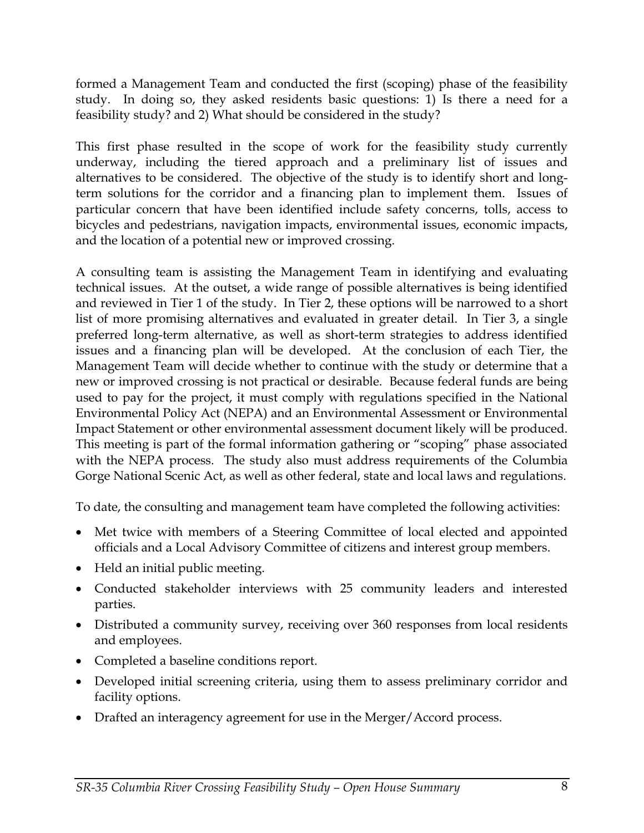formed a Management Team and conducted the first (scoping) phase of the feasibility study. In doing so, they asked residents basic questions: 1) Is there a need for a feasibility study? and 2) What should be considered in the study?

This first phase resulted in the scope of work for the feasibility study currently underway, including the tiered approach and a preliminary list of issues and alternatives to be considered. The objective of the study is to identify short and longterm solutions for the corridor and a financing plan to implement them. Issues of particular concern that have been identified include safety concerns, tolls, access to bicycles and pedestrians, navigation impacts, environmental issues, economic impacts, and the location of a potential new or improved crossing.

A consulting team is assisting the Management Team in identifying and evaluating technical issues. At the outset, a wide range of possible alternatives is being identified and reviewed in Tier 1 of the study. In Tier 2, these options will be narrowed to a short list of more promising alternatives and evaluated in greater detail. In Tier 3, a single preferred long-term alternative, as well as short-term strategies to address identified issues and a financing plan will be developed. At the conclusion of each Tier, the Management Team will decide whether to continue with the study or determine that a new or improved crossing is not practical or desirable. Because federal funds are being used to pay for the project, it must comply with regulations specified in the National Environmental Policy Act (NEPA) and an Environmental Assessment or Environmental Impact Statement or other environmental assessment document likely will be produced. This meeting is part of the formal information gathering or "scoping" phase associated with the NEPA process. The study also must address requirements of the Columbia Gorge National Scenic Act, as well as other federal, state and local laws and regulations.

To date, the consulting and management team have completed the following activities:

- Met twice with members of a Steering Committee of local elected and appointed officials and a Local Advisory Committee of citizens and interest group members.
- Held an initial public meeting.
- Conducted stakeholder interviews with 25 community leaders and interested parties.
- Distributed a community survey, receiving over 360 responses from local residents and employees.
- Completed a baseline conditions report.
- Developed initial screening criteria, using them to assess preliminary corridor and facility options.
- Drafted an interagency agreement for use in the Merger/Accord process.